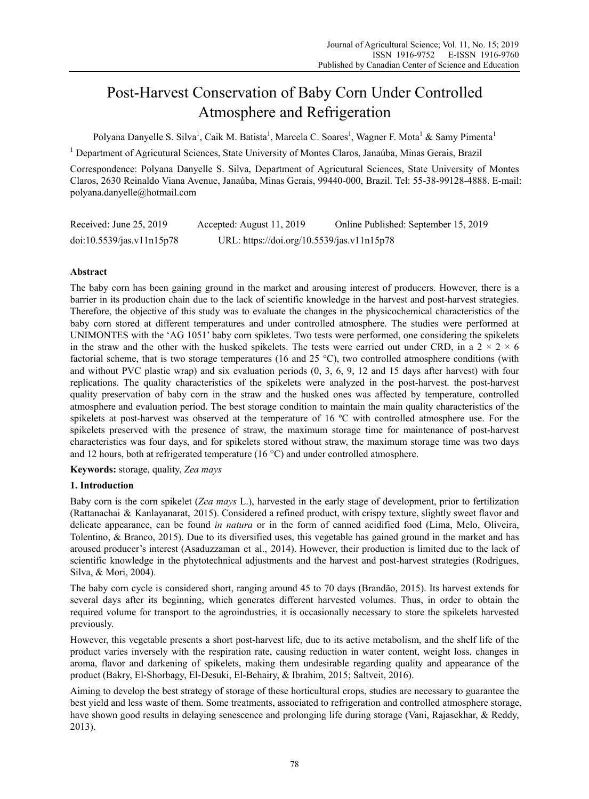# Post-Harvest Conservation of Baby Corn Under Controlled Atmosphere and Refrigeration

Polyana Danyelle S. Silva<sup>1</sup>, Caik M. Batista<sup>1</sup>, Marcela C. Soares<sup>1</sup>, Wagner F. Mota<sup>1</sup> & Samy Pimenta<sup>1</sup>

<sup>1</sup> Department of Agricutural Sciences, State University of Montes Claros, Janaúba, Minas Gerais, Brazil

Correspondence: Polyana Danyelle S. Silva, Department of Agricutural Sciences, State University of Montes Claros, 2630 Reinaldo Viana Avenue, Janaúba, Minas Gerais, 99440-000, Brazil. Tel: 55-38-99128-4888. E-mail: polyana.danyelle@hotmail.com

| Received: June 25, 2019   | Accepted: August 11, 2019                  | Online Published: September 15, 2019 |
|---------------------------|--------------------------------------------|--------------------------------------|
| doi:10.5539/jas.v11n15p78 | URL: https://doi.org/10.5539/jas.v11n15p78 |                                      |

## **Abstract**

The baby corn has been gaining ground in the market and arousing interest of producers. However, there is a barrier in its production chain due to the lack of scientific knowledge in the harvest and post-harvest strategies. Therefore, the objective of this study was to evaluate the changes in the physicochemical characteristics of the baby corn stored at different temperatures and under controlled atmosphere. The studies were performed at UNIMONTES with the 'AG 1051' baby corn spikletes. Two tests were performed, one considering the spikelets in the straw and the other with the husked spikelets. The tests were carried out under CRD, in a  $2 \times 2 \times 6$ factorial scheme, that is two storage temperatures (16 and 25 °C), two controlled atmosphere conditions (with and without PVC plastic wrap) and six evaluation periods (0, 3, 6, 9, 12 and 15 days after harvest) with four replications. The quality characteristics of the spikelets were analyzed in the post-harvest. the post-harvest quality preservation of baby corn in the straw and the husked ones was affected by temperature, controlled atmosphere and evaluation period. The best storage condition to maintain the main quality characteristics of the spikelets at post-harvest was observed at the temperature of 16 °C with controlled atmosphere use. For the spikelets preserved with the presence of straw, the maximum storage time for maintenance of post-harvest characteristics was four days, and for spikelets stored without straw, the maximum storage time was two days and 12 hours, both at refrigerated temperature  $(16 \degree C)$  and under controlled atmosphere.

**Keywords:** storage, quality, *Zea mays* 

## **1. Introduction**

Baby corn is the corn spikelet (*Zea mays* L.), harvested in the early stage of development, prior to fertilization (Rattanachai & Kanlayanarat, 2015). Considered a refined product, with crispy texture, slightly sweet flavor and delicate appearance, can be found *in natura* or in the form of canned acidified food (Lima, Melo, Oliveira, Tolentino, & Branco, 2015). Due to its diversified uses, this vegetable has gained ground in the market and has aroused producer's interest (Asaduzzaman et al., 2014). However, their production is limited due to the lack of scientific knowledge in the phytotechnical adjustments and the harvest and post-harvest strategies (Rodrigues, Silva, & Mori, 2004).

The baby corn cycle is considered short, ranging around 45 to 70 days (Brandão, 2015). Its harvest extends for several days after its beginning, which generates different harvested volumes. Thus, in order to obtain the required volume for transport to the agroindustries, it is occasionally necessary to store the spikelets harvested previously.

However, this vegetable presents a short post-harvest life, due to its active metabolism, and the shelf life of the product varies inversely with the respiration rate, causing reduction in water content, weight loss, changes in aroma, flavor and darkening of spikelets, making them undesirable regarding quality and appearance of the product (Bakry, El-Shorbagy, El-Desuki, El-Behairy, & Ibrahim, 2015; Saltveit, 2016).

Aiming to develop the best strategy of storage of these horticultural crops, studies are necessary to guarantee the best yield and less waste of them. Some treatments, associated to refrigeration and controlled atmosphere storage, have shown good results in delaying senescence and prolonging life during storage (Vani, Rajasekhar, & Reddy, 2013).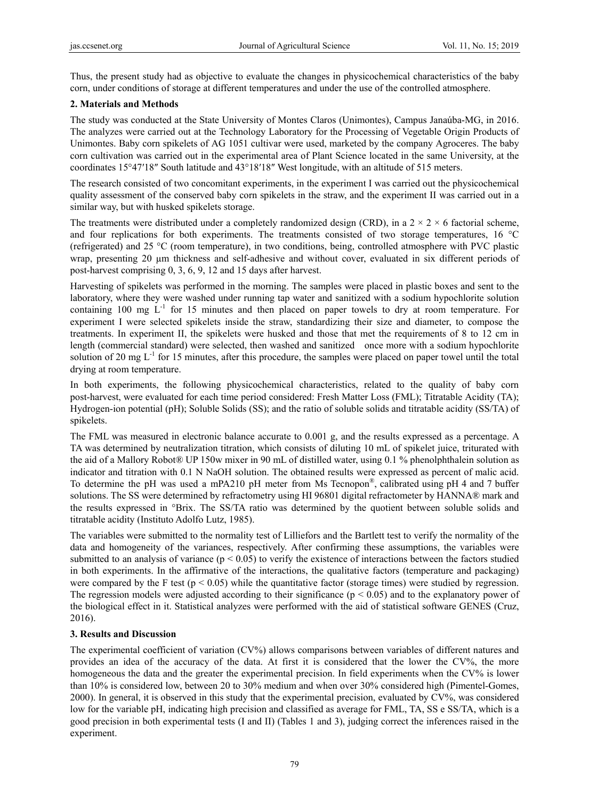Thus, the present study had as objective to evaluate the changes in physicochemical characteristics of the baby corn, under conditions of storage at different temperatures and under the use of the controlled atmosphere.

## **2. Materials and Methods**

The study was conducted at the State University of Montes Claros (Unimontes), Campus Janaúba-MG, in 2016. The analyzes were carried out at the Technology Laboratory for the Processing of Vegetable Origin Products of Unimontes. Baby corn spikelets of AG 1051 cultivar were used, marketed by the company Agroceres. The baby corn cultivation was carried out in the experimental area of Plant Science located in the same University, at the coordinates 15°47′18″ South latitude and 43°18′18″ West longitude, with an altitude of 515 meters.

The research consisted of two concomitant experiments, in the experiment I was carried out the physicochemical quality assessment of the conserved baby corn spikelets in the straw, and the experiment II was carried out in a similar way, but with husked spikelets storage.

The treatments were distributed under a completely randomized design (CRD), in a  $2 \times 2 \times 6$  factorial scheme, and four replications for both experiments. The treatments consisted of two storage temperatures, 16 °C (refrigerated) and 25 °C (room temperature), in two conditions, being, controlled atmosphere with PVC plastic wrap, presenting 20 um thickness and self-adhesive and without cover, evaluated in six different periods of post-harvest comprising 0, 3, 6, 9, 12 and 15 days after harvest.

Harvesting of spikelets was performed in the morning. The samples were placed in plastic boxes and sent to the laboratory, where they were washed under running tap water and sanitized with a sodium hypochlorite solution containing 100 mg  $L^{-1}$  for 15 minutes and then placed on paper towels to dry at room temperature. For experiment I were selected spikelets inside the straw, standardizing their size and diameter, to compose the treatments. In experiment II, the spikelets were husked and those that met the requirements of 8 to 12 cm in length (commercial standard) were selected, then washed and sanitized once more with a sodium hypochlorite solution of 20 mg  $L^{-1}$  for 15 minutes, after this procedure, the samples were placed on paper towel until the total drying at room temperature.

In both experiments, the following physicochemical characteristics, related to the quality of baby corn post-harvest, were evaluated for each time period considered: Fresh Matter Loss (FML); Titratable Acidity (TA); Hydrogen-ion potential (pH); Soluble Solids (SS); and the ratio of soluble solids and titratable acidity (SS/TA) of spikelets.

The FML was measured in electronic balance accurate to 0.001 g, and the results expressed as a percentage. A TA was determined by neutralization titration, which consists of diluting 10 mL of spikelet juice, triturated with the aid of a Mallory Robot® UP 150w mixer in 90 mL of distilled water, using 0.1 % phenolphthalein solution as indicator and titration with 0.1 N NaOH solution. The obtained results were expressed as percent of malic acid. To determine the pH was used a mPA210 pH meter from Ms Tecnopon®, calibrated using pH 4 and 7 buffer solutions. The SS were determined by refractometry using HI 96801 digital refractometer by HANNA® mark and the results expressed in °Brix. The SS/TA ratio was determined by the quotient between soluble solids and titratable acidity (Instituto Adolfo Lutz, 1985).

The variables were submitted to the normality test of Lilliefors and the Bartlett test to verify the normality of the data and homogeneity of the variances, respectively. After confirming these assumptions, the variables were submitted to an analysis of variance  $(p < 0.05)$  to verify the existence of interactions between the factors studied in both experiments. In the affirmative of the interactions, the qualitative factors (temperature and packaging) were compared by the F test ( $p < 0.05$ ) while the quantitative factor (storage times) were studied by regression. The regression models were adjusted according to their significance ( $p < 0.05$ ) and to the explanatory power of the biological effect in it. Statistical analyzes were performed with the aid of statistical software GENES (Cruz, 2016).

## **3. Results and Discussion**

The experimental coefficient of variation (CV%) allows comparisons between variables of different natures and provides an idea of the accuracy of the data. At first it is considered that the lower the CV%, the more homogeneous the data and the greater the experimental precision. In field experiments when the CV% is lower than 10% is considered low, between 20 to 30% medium and when over 30% considered high (Pimentel-Gomes, 2000). In general, it is observed in this study that the experimental precision, evaluated by CV%, was considered low for the variable pH, indicating high precision and classified as average for FML, TA, SS e SS/TA, which is a good precision in both experimental tests (I and II) (Tables 1 and 3), judging correct the inferences raised in the experiment.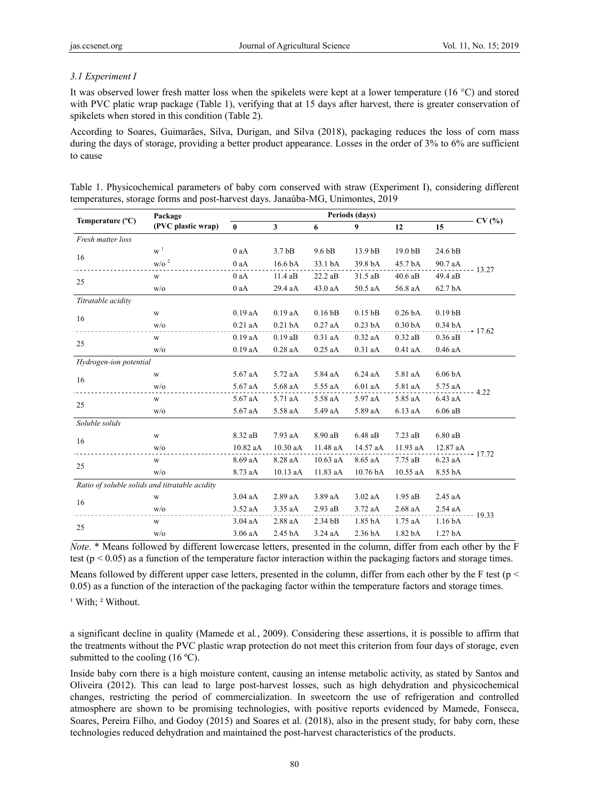## *3.1 Experiment I*

It was observed lower fresh matter loss when the spikelets were kept at a lower temperature (16 °C) and stored with PVC platic wrap package (Table 1), verifying that at 15 days after harvest, there is greater conservation of spikelets when stored in this condition (Table 2).

According to Soares, Guimarães, Silva, Durigan, and Silva (2018), packaging reduces the loss of corn mass during the days of storage, providing a better product appearance. Losses in the order of 3% to 6% are sufficient to cause

|                           | Package                                        | Periods (days) |                    |                   |                     |                    |                     |          |  |
|---------------------------|------------------------------------------------|----------------|--------------------|-------------------|---------------------|--------------------|---------------------|----------|--|
| Temperature $(^{\circ}C)$ | (PVC plastic wrap)                             | $\mathbf{0}$   | $\mathbf{3}$       | 6                 | 9                   | 12                 | 15                  | CV(%)    |  |
| Fresh matter loss         |                                                |                |                    |                   |                     |                    |                     |          |  |
|                           | $W^1$                                          | $0$ aA         | 3.7 <sub>bB</sub>  | 9.6 <sub>bB</sub> | 13.9 bB             | 19.0 bB            | 24.6 bB             |          |  |
| 16                        | $W/2$ <sup>2</sup>                             | $0$ aA         | 16.6 bA            | 33.1 bA           | 39.8 bA             | 45.7 bA            | 90.7 aA             | $-13.27$ |  |
|                           | W                                              | 0aA            | 11.4 aB            | $22.2$ aB         | $31.5$ aB           | $40.6$ aB          | 49.4 aB             |          |  |
| 25                        | W/O                                            | $0$ aA         | 29.4 aA            | 43.0 aA           | 50.5 aA             | 56.8 aA            | 62.7 bA             |          |  |
| Titratable acidity        |                                                |                |                    |                   |                     |                    |                     |          |  |
|                           | W                                              | $0.19$ aA      | $0.19$ aA          | $0.16$ bB         | $0.15$ bB           | 0.26 <sub>bA</sub> | 0.19 <sub>bB</sub>  |          |  |
| 16                        | W/O                                            | $0.21$ aA      | 0.21 <sub>bA</sub> | $0.27$ aA         | 0.23 <sub>bA</sub>  | 0.30 <sub>bA</sub> | $0.34\,\mathrm{bA}$ |          |  |
|                           | W                                              | $0.19$ aA      | $0.19$ aB          | $0.31$ aA         | $0.32$ aA           | $0.32$ aB          | $0.36$ aB           | $-17.62$ |  |
| 25                        | W/O                                            | $0.19$ aA      | $0.28$ aA          | $0.25$ aA         | $0.31$ aA           | $0.41$ aA          | $0.46$ aA           |          |  |
| Hydrogen-ion potential    |                                                |                |                    |                   |                     |                    |                     |          |  |
|                           | W                                              | 5.67 aA        | 5.72 aA            | 5.84 aA           | $6.24$ aA           | 5.81 aA            | 6.06 <sub>bA</sub>  |          |  |
| 16                        | W/O                                            | 5.67 aA        | 5.68 aA            | 5.55 aA           | $6.01$ aA           | 5.81 aA            | 5.75 aA             |          |  |
|                           | $\ensuremath{\text{W}}\xspace$                 | 5.67 aA        | 5.71 aA            | 5.58 aA           | 5.97 aA             | 5.85 aA            | $6.43$ aA           | $-4.22$  |  |
| 25                        | W/O                                            | 5.67 aA        | 5.58 aA            | 5.49 aA           | 5.89 aA             | 6.13 aA            | $6.06$ aB           |          |  |
| Soluble solids            |                                                |                |                    |                   |                     |                    |                     |          |  |
|                           | W                                              | 8.32 aB        | 7.93 aA            | 8.90 aB           | $6.48$ aB           | $7.23$ aB          | 6.80aB              |          |  |
| 16                        | W/O                                            | 10.82 aA       | 10.30 aA           | 11.48 aA          | 14.57 aA            | 11.93 aA           | 12.87 aA            | $-17.72$ |  |
|                           | W                                              | 8.69 aA        | 8.28 aA            | 10.63 aA          | 8.65 aA             | 7.75 aB            | 6.23 aA             |          |  |
| 25                        | W/O                                            | 8.73 aA        | 10.13 aA           | 11.83 aA          | 10.76 bA            | 10.55 aA           | 8.55 bA             |          |  |
|                           | Ratio of soluble solids and titratable acidity |                |                    |                   |                     |                    |                     |          |  |
| 16                        | W                                              | $3.04$ aA      | 2.89 aA            | 3.89 aA           | $3.02$ aA           | $1.95$ aB          | $2.45$ aA           |          |  |
|                           | W/O                                            | $3.52$ aA      | 3.35 aA            | $2.93$ aB         | $3.72$ aA           | 2.68 aA            | $2.54$ aA           | $-19.33$ |  |
|                           | W                                              | $3.04$ aA      | 2.88 aA            | $2.34$ bB         | $1.85\,\mathrm{bA}$ | $1.75$ aA          | 1.16 <sub>bA</sub>  |          |  |
| 25                        | W/O                                            | 3.06 aA        | 2.45 bA            | $3.24$ aA         | 2.36 bA             | 1.82 bA            | 1.27 <sub>bA</sub>  |          |  |

Table 1. Physicochemical parameters of baby corn conserved with straw (Experiment I), considering different temperatures, storage forms and post-harvest days. Janaúba-MG, Unimontes, 2019

*Note*. \* Means followed by different lowercase letters, presented in the column, differ from each other by the F test ( $p < 0.05$ ) as a function of the temperature factor interaction within the packaging factors and storage times.

Means followed by different upper case letters, presented in the column, differ from each other by the F test ( $p <$ 0.05) as a function of the interaction of the packaging factor within the temperature factors and storage times.

<sup>1</sup> With; <sup>2</sup> Without.

a significant decline in quality (Mamede et al*.*, 2009). Considering these assertions, it is possible to affirm that the treatments without the PVC plastic wrap protection do not meet this criterion from four days of storage, even submitted to the cooling  $(16 \degree C)$ .

Inside baby corn there is a high moisture content, causing an intense metabolic activity, as stated by Santos and Oliveira (2012). This can lead to large post-harvest losses, such as high dehydration and physicochemical changes, restricting the period of commercialization. In sweetcorn the use of refrigeration and controlled atmosphere are shown to be promising technologies, with positive reports evidenced by Mamede, Fonseca, Soares, Pereira Filho, and Godoy (2015) and Soares et al. (2018), also in the present study, for baby corn, these technologies reduced dehydration and maintained the post-harvest characteristics of the products.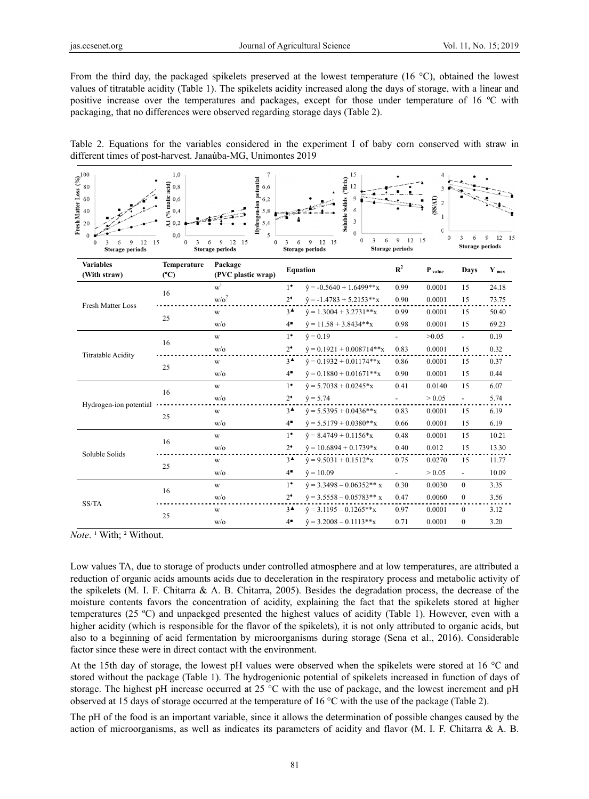From the third day, the packaged spikelets preserved at the lowest temperature (16  $^{\circ}$ C), obtained the lowest values of titratable acidity (Table 1). The spikelets acidity increased along the days of storage, with a linear and positive increase over the temperatures and packages, except for those under temperature of 16 °C with packaging, that no differences were observed regarding storage days (Table 2).



| Fresh Matter Loss $\begin{pmatrix} 9/6 \\ 8/2 \end{pmatrix}$ $\begin{pmatrix} 2/6 \\ 8 \end{pmatrix}$<br>9<br>12<br>15<br>$\bf{0}$<br>6<br>Storage periods | 1,0<br>$($ % malic acid $)$<br>0,8<br>0,6<br>0,4<br>Ź.<br>0.2<br>0.0<br>$\mathbf{0}$<br>3 | $\overline{7}$<br>Hydrogen-ion potential<br>6,6<br>6,2<br>5,8<br>5,4<br>5<br>6<br>$\mathbf{Q}$<br>12<br>15<br>$\mathbf{0}$<br><b>Storage periods</b> | 6<br>3          | 15<br>Soluble Solids ("Brix)<br>12<br>$\mathbf Q$<br>6<br>3<br>$\Omega$<br>3<br>6<br>$\theta$<br>9<br>12 15<br>Storage periods | 9<br>12 15<br>Storage periods | $\rm (S8/AT)$<br>$\overline{2}$<br>1<br>$\bf{0}$ | 6<br>3<br>Storage periods | 9<br>12<br>-15   |
|------------------------------------------------------------------------------------------------------------------------------------------------------------|-------------------------------------------------------------------------------------------|------------------------------------------------------------------------------------------------------------------------------------------------------|-----------------|--------------------------------------------------------------------------------------------------------------------------------|-------------------------------|--------------------------------------------------|---------------------------|------------------|
| <b>Variables</b><br>(With straw)                                                                                                                           | Temperature<br>(C)                                                                        | Package<br>(PVC plastic wrap)                                                                                                                        |                 | <b>Equation</b>                                                                                                                | $\mathbf{R}^2$                | $P_{value}$                                      | Days                      | $Y_{\text{max}}$ |
|                                                                                                                                                            | 16                                                                                        | $w^1$                                                                                                                                                | $1^{\bullet}$   | $\hat{v} = -0.5640 + 1.6499**x$                                                                                                | 0.99                          | 0.0001                                           | 15                        | 24.18            |
| <b>Fresh Matter Loss</b>                                                                                                                                   |                                                                                           | w/o <sup>2</sup>                                                                                                                                     | $2^*$           | $\hat{v} = -1.4783 + 5.2153**x$                                                                                                | 0.90                          | 0.0001                                           | 15                        | 73.75            |
|                                                                                                                                                            | 25                                                                                        | W                                                                                                                                                    | $3^{\triangle}$ | $\hat{v} = 1.3004 + 3.2731**x$                                                                                                 | 0.99                          | 0.0001                                           | 15                        | 50.40            |
|                                                                                                                                                            |                                                                                           | w/o                                                                                                                                                  | $4^{\bullet}$   | $\hat{v} = 11.58 + 3.8434**x$                                                                                                  | 0.98                          | 0.0001                                           | 15                        | 69.23            |
| <b>Titratable Acidity</b>                                                                                                                                  | 16                                                                                        | W                                                                                                                                                    | $1^{\bullet}$   | $\hat{v} = 0.19$                                                                                                               | $\overline{a}$                | >0.05                                            | $\overline{\phantom{a}}$  | 0.19             |
|                                                                                                                                                            |                                                                                           | $w$ /0                                                                                                                                               | $2^*$           | $\hat{v} = 0.1921 + 0.008714**x$                                                                                               | 0.83                          | 0.0001                                           | 15                        | 0.32             |
|                                                                                                                                                            | 25                                                                                        | W                                                                                                                                                    | $3^{\triangle}$ | $\hat{v} = 0.1932 + 0.01174**x$                                                                                                | 0.86                          | 0.0001                                           | 15                        | 0.37             |
|                                                                                                                                                            |                                                                                           | $w$ / $\circ$                                                                                                                                        | $4^{\bullet}$   | $\hat{v} = 0.1880 + 0.01671**x$                                                                                                | 0.90                          | 0.0001                                           | 15                        | 0.44             |
|                                                                                                                                                            | 16                                                                                        | W                                                                                                                                                    | $1^{\bullet}$   | $\hat{v} = 5.7038 + 0.0245 \cdot x$                                                                                            | 0.41                          | 0.0140                                           | 15                        | 6.07             |
| Hydrogen-ion potential                                                                                                                                     |                                                                                           | w/o                                                                                                                                                  | $2^*$           | $\hat{y} = 5.74$                                                                                                               |                               | > 0.05                                           | $\blacksquare$            | 5.74             |
|                                                                                                                                                            | 25                                                                                        | W                                                                                                                                                    | $3^{\triangle}$ | $\hat{v}$ = 5.5395 + 0.0436**x                                                                                                 | 0.83                          | 0.0001                                           | 15                        | 6.19             |
|                                                                                                                                                            |                                                                                           | $w$ / $\circ$                                                                                                                                        | $4^{\bullet}$   | $\hat{v} = 5.5179 + 0.0380**x$                                                                                                 | 0.66                          | 0.0001                                           | 15                        | 6.19             |
|                                                                                                                                                            | 16                                                                                        | W                                                                                                                                                    | $1^{\bullet}$   | $\hat{v} = 8.4749 + 0.1156 \times x$                                                                                           | 0.48                          | 0.0001                                           | 15                        | 10.21            |
| Soluble Solids                                                                                                                                             |                                                                                           | w/o                                                                                                                                                  | $2^*$           | $\hat{v} = 10.6894 + 0.1739*x$                                                                                                 | 0.40                          | 0.012                                            | 15                        | 13.30            |
|                                                                                                                                                            | 25                                                                                        | W                                                                                                                                                    | $3^{\triangle}$ | $\hat{v} = 9.5031 + 0.1512*x$                                                                                                  | 0.75                          | 0.0270                                           | 15                        | 11.77            |
|                                                                                                                                                            |                                                                                           | W/0                                                                                                                                                  | $4^{\bullet}$   | $\hat{v} = 10.09$                                                                                                              |                               | > 0.05                                           | $\overline{\phantom{a}}$  | 10.09            |
|                                                                                                                                                            | 16                                                                                        | W                                                                                                                                                    | $1^{\bullet}$   | $\hat{v} = 3.3498 - 0.06352**$ x                                                                                               | 0.30                          | 0.0030                                           | $\mathbf{0}$              | 3.35             |
| SS/TA                                                                                                                                                      |                                                                                           | w/o                                                                                                                                                  | $2^*$           | $\hat{v} = 3.5558 - 0.05783**$ x                                                                                               | 0.47                          | 0.0060                                           | $\mathbf{0}$              | 3.56             |
|                                                                                                                                                            | 25                                                                                        | W                                                                                                                                                    | $3^{\triangle}$ | $\hat{v} = 3.1195 - 0.1265**x$                                                                                                 | 0.97                          | 0.0001                                           | $\theta$                  | 3.12             |
|                                                                                                                                                            |                                                                                           | $w$ /0                                                                                                                                               | $4^{\bullet}$   | $\hat{v} = 3.2008 - 0.1113**x$                                                                                                 | 0.71                          | 0.0001                                           | $\boldsymbol{0}$          | 3.20             |

*Note.*<sup>1</sup> With;<sup>2</sup> Without.

Low values TA, due to storage of products under controlled atmosphere and at low temperatures, are attributed a reduction of organic acids amounts acids due to deceleration in the respiratory process and metabolic activity of the spikelets (M. I. F. Chitarra & A. B. Chitarra, 2005). Besides the degradation process, the decrease of the moisture contents favors the concentration of acidity, explaining the fact that the spikelets stored at higher temperatures (25 °C) and unpackged presented the highest values of acidity (Table 1). However, even with a higher acidity (which is responsible for the flavor of the spikelets), it is not only attributed to organic acids, but also to a beginning of acid fermentation by microorganisms during storage (Sena et al., 2016). Considerable factor since these were in direct contact with the environment.

At the 15th day of storage, the lowest pH values were observed when the spikelets were stored at 16  $^{\circ}$ C and stored without the package (Table 1). The hydrogenionic potential of spikelets increased in function of days of storage. The highest pH increase occurred at 25  $^{\circ}$ C with the use of package, and the lowest increment and pH observed at 15 days of storage occurred at the temperature of 16  $^{\circ}$ C with the use of the package (Table 2).

The pH of the food is an important variable, since it allows the determination of possible changes caused by the action of microorganisms, as well as indicates its parameters of acidity and flavor  $(M. I. F. Chitarra & A. B.$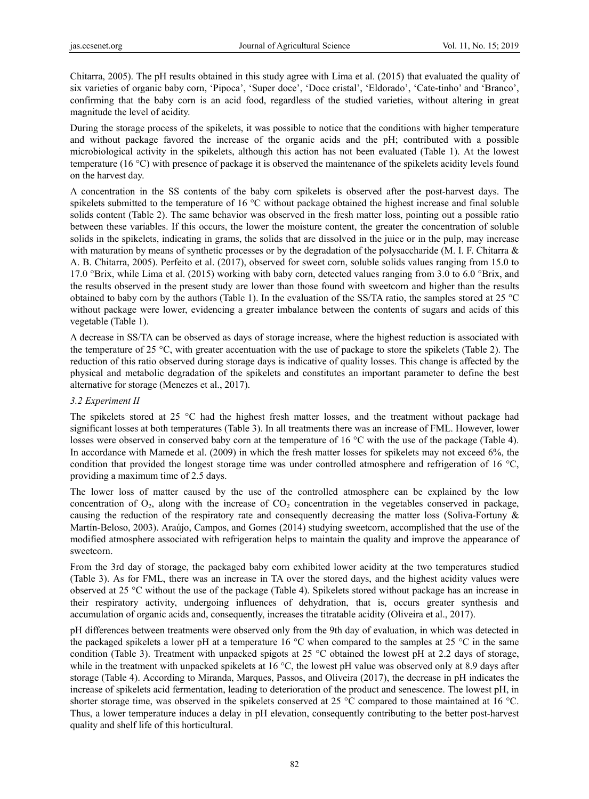Chitarra, 2005). The pH results obtained in this study agree with Lima et al. (2015) that evaluated the quality of six varieties of organic baby corn, 'Pipoca', 'Super doce', 'Doce cristal', 'Eldorado', 'Cate-tinho' and 'Branco', confirming that the baby corn is an acid food, regardless of the studied varieties, without altering in great magnitude the level of acidity.

During the storage process of the spikelets, it was possible to notice that the conditions with higher temperature and without package favored the increase of the organic acids and the pH; contributed with a possible microbiological activity in the spikelets, although this action has not been evaluated (Table 1). At the lowest temperature (16 °C) with presence of package it is observed the maintenance of the spikelets acidity levels found on the harvest day.

A concentration in the SS contents of the baby corn spikelets is observed after the post-harvest days. The spikelets submitted to the temperature of 16 °C without package obtained the highest increase and final soluble solids content (Table 2). The same behavior was observed in the fresh matter loss, pointing out a possible ratio between these variables. If this occurs, the lower the moisture content, the greater the concentration of soluble solids in the spikelets, indicating in grams, the solids that are dissolved in the juice or in the pulp, may increase with maturation by means of synthetic processes or by the degradation of the polysaccharide (M. I. F. Chitarra  $\&$ A. B. Chitarra, 2005). Perfeito et al. (2017), observed for sweet corn, soluble solids values ranging from 15.0 to 17.0 °Brix, while Lima et al. (2015) working with baby corn, detected values ranging from 3.0 to 6.0 °Brix, and the results observed in the present study are lower than those found with sweetcorn and higher than the results obtained to baby corn by the authors (Table 1). In the evaluation of the SS/TA ratio, the samples stored at 25 °C without package were lower, evidencing a greater imbalance between the contents of sugars and acids of this vegetable (Table 1).

A decrease in SS/TA can be observed as days of storage increase, where the highest reduction is associated with the temperature of 25 °C, with greater accentuation with the use of package to store the spikelets (Table 2). The reduction of this ratio observed during storage days is indicative of quality losses. This change is affected by the physical and metabolic degradation of the spikelets and constitutes an important parameter to define the best alternative for storage (Menezes et al., 2017).

### *3.2 Experiment II*

The spikelets stored at 25 °C had the highest fresh matter losses, and the treatment without package had significant losses at both temperatures (Table 3). In all treatments there was an increase of FML. However, lower losses were observed in conserved baby corn at the temperature of 16 °C with the use of the package (Table 4). In accordance with Mamede et al. (2009) in which the fresh matter losses for spikelets may not exceed 6%, the condition that provided the longest storage time was under controlled atmosphere and refrigeration of 16 °C, providing a maximum time of 2.5 days.

The lower loss of matter caused by the use of the controlled atmosphere can be explained by the low concentration of  $O_2$ , along with the increase of  $CO_2$  concentration in the vegetables conserved in package, causing the reduction of the respiratory rate and consequently decreasing the matter loss (Soliva-Fortuny & Martín-Beloso, 2003). Araújo, Campos, and Gomes (2014) studying sweetcorn, accomplished that the use of the modified atmosphere associated with refrigeration helps to maintain the quality and improve the appearance of sweetcorn.

From the 3rd day of storage, the packaged baby corn exhibited lower acidity at the two temperatures studied (Table 3). As for FML, there was an increase in TA over the stored days, and the highest acidity values were observed at 25 °C without the use of the package (Table 4). Spikelets stored without package has an increase in their respiratory activity, undergoing influences of dehydration, that is, occurs greater synthesis and accumulation of organic acids and, consequently, increases the titratable acidity (Oliveira et al., 2017).

pH differences between treatments were observed only from the 9th day of evaluation, in which was detected in the packaged spikelets a lower pH at a temperature 16 °C when compared to the samples at 25 °C in the same condition (Table 3). Treatment with unpacked spigots at 25 °C obtained the lowest pH at 2.2 days of storage, while in the treatment with unpacked spikelets at 16 °C, the lowest pH value was observed only at 8.9 days after storage (Table 4). According to Miranda, Marques, Passos, and Oliveira (2017), the decrease in pH indicates the increase of spikelets acid fermentation, leading to deterioration of the product and senescence. The lowest pH, in shorter storage time, was observed in the spikelets conserved at 25 °C compared to those maintained at 16 °C. Thus, a lower temperature induces a delay in pH elevation, consequently contributing to the better post-harvest quality and shelf life of this horticultural.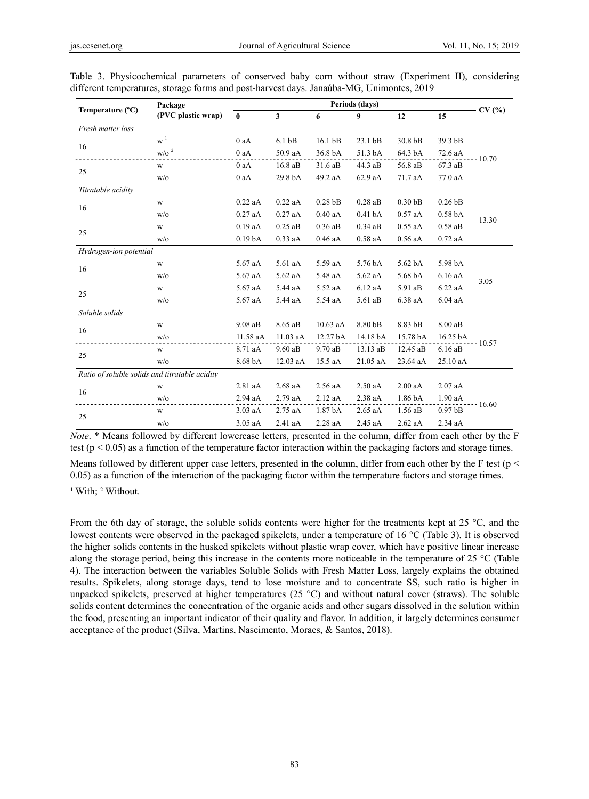|                                                | Package             | Periods (days)     |                   |            |                    |                    |                    |          |  |
|------------------------------------------------|---------------------|--------------------|-------------------|------------|--------------------|--------------------|--------------------|----------|--|
| Temperature (°C)                               | (PVC plastic wrap)  | $\bf{0}$           | 3                 | 6          | 9                  | 12                 | 15                 | CV(%)    |  |
| Fresh matter loss                              |                     |                    |                   |            |                    |                    |                    |          |  |
| 16                                             | $W^1$               | 0aA                | 6.1 <sub>bB</sub> | 16.1 bB    | 23.1 bB            | 30.8 <sub>bB</sub> | 39.3 bB            |          |  |
|                                                | $\mathrm{w/o}$ $^2$ | $0$ aA             | 50.9 aA           | 36.8 bA    | 51.3 bA            | 64.3 bA            | 72.6 aA            | $-10.70$ |  |
|                                                | $\mathbf W$         | 0aA                | 16.8 aB           | $31.6$ aB  | 44.3 aB            | 56.8 aB            | 67.3 aB            |          |  |
| 25                                             | W/O                 | 0aA                | 29.8 bA           | 49.2 aA    | 62.9 aA            | 71.7 aA            | 77.0 aA            |          |  |
| Titratable acidity                             |                     |                    |                   |            |                    |                    |                    |          |  |
|                                                | $\mathbf W$         | $0.22$ aA          | $0.22$ aA         | $0.28$ bB  | $0.28$ aB          | 0.30 <sub>bB</sub> | $0.26$ bB          |          |  |
| 16                                             | W/0                 | $0.27$ aA          | $0.27$ aA         | $0.40$ aA  | 0.41 <sub>bA</sub> | $0.57$ aA          | 0.58 <sub>bA</sub> | 13.30    |  |
| 25                                             | $\mathbf W$         | 0.19aA             | $0.25$ aB         | $0.36$ aB  | $0.34$ aB          | $0.55$ aA          | $0.58$ aB          |          |  |
|                                                | W/O                 | 0.19 <sub>bA</sub> | $0.33$ aA         | $0.46$ aA  | $0.58$ aA          | $0.56$ aA          | 0.72aA             |          |  |
| Hydrogen-ion potential                         |                     |                    |                   |            |                    |                    |                    |          |  |
| 16                                             | W                   | 5.67 aA            | 5.61 aA           | 5.59 aA    | 5.76 bA            | 5.62 bA            | 5.98 bA            |          |  |
|                                                | W/O                 | 5.67 aA            | 5.62 aA           | 5.48 aA    | 5.62 aA            | 5.68 bA            | $6.16$ aA          | $-3.05$  |  |
|                                                | $\mathbf W$         | 5.67 aA            | 5.44 aA           | 5.52 aA    | 6.12 aA            | 5.91 aB            | 6.22 aA            |          |  |
| 25                                             | W/0                 | 5.67 aA            | 5.44 aA           | 5.54 aA    | 5.61 aB            | 6.38 aA            | 6.04 aA            |          |  |
| Soluble solids                                 |                     |                    |                   |            |                    |                    |                    |          |  |
| 16                                             | W                   | $9.08$ aB          | 8.65 aB           | $10.63$ aA | 8.80 bB            | 8.83 bB            | 8.00 aB            |          |  |
|                                                | W/O                 | 11.58 aA           | 11.03 aA          | 12.27 bA   | 14.18 bA           | 15.78 bA           | 16.25 bA           | $-10.57$ |  |
| 25                                             | W                   | 8.71 aA            | 9.60 aB           | 9.70 aB    | 13.13 aB           | 12.45 aB           | 6.16 aB            |          |  |
|                                                | W/0                 | 8.68 bA            | 12.03 aA          | 15.5 aA    | 21.05 aA           | 23.64 aA           | 25.10 aA           |          |  |
| Ratio of soluble solids and titratable acidity |                     |                    |                   |            |                    |                    |                    |          |  |
| 16                                             | W                   | 2.81 aA            | 2.68 aA           | 2.56 aA    | $2.50$ aA          | 2.00aA             | $2.07$ aA          |          |  |
|                                                | W/O                 | 2.94 aA            | 2.79 aA           | 2.12 aA    | 2.38 aA            | 1.86 bA            | 1.90 aA            | $-16.60$ |  |
|                                                | $\mathbf W$         | $3.03$ aA          | $2.75$ aA         | 1.87 bA    | $2.65$ aA          | $1.56$ aB          | 0.97 <sub>bB</sub> |          |  |
| 25                                             | 3.05 aA<br>W/0      |                    | 2.41 aA           | 2.28 aA    | 2.45 aA            | $2.62$ aA          | 2.34 aA            |          |  |

Table 3. Physicochemical parameters of conserved baby corn without straw (Experiment II), considering different temperatures, storage forms and post-harvest days. Janaúba-MG, Unimontes, 2019

*Note*. \* Means followed by different lowercase letters, presented in the column, differ from each other by the F test ( $p < 0.05$ ) as a function of the temperature factor interaction within the packaging factors and storage times.

Means followed by different upper case letters, presented in the column, differ from each other by the F test ( $p <$ 0.05) as a function of the interaction of the packaging factor within the temperature factors and storage times.

<sup>1</sup> With; <sup>2</sup> Without.

From the 6th day of storage, the soluble solids contents were higher for the treatments kept at 25 °C, and the lowest contents were observed in the packaged spikelets, under a temperature of 16 °C (Table 3). It is observed the higher solids contents in the husked spikelets without plastic wrap cover, which have positive linear increase along the storage period, being this increase in the contents more noticeable in the temperature of 25 °C (Table 4). The interaction between the variables Soluble Solids with Fresh Matter Loss, largely explains the obtained results. Spikelets, along storage days, tend to lose moisture and to concentrate SS, such ratio is higher in unpacked spikelets, preserved at higher temperatures (25 °C) and without natural cover (straws). The soluble solids content determines the concentration of the organic acids and other sugars dissolved in the solution within the food, presenting an important indicator of their quality and flavor. In addition, it largely determines consumer acceptance of the product (Silva, Martins, Nascimento, Moraes, & Santos, 2018).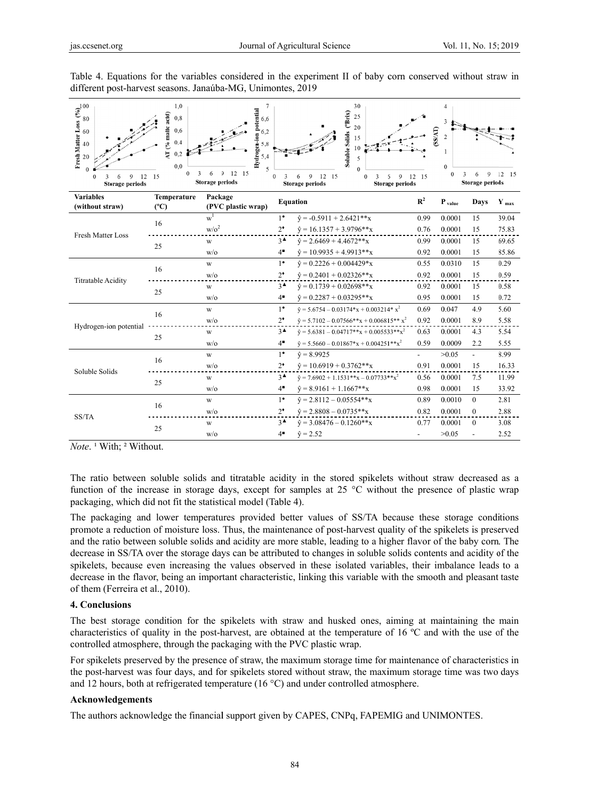| Fresh Matter Loss $\begin{pmatrix} 9/6 \\ 8 \end{pmatrix}$ $\approx$ $\begin{pmatrix} 9/6 \\ 8 \end{pmatrix}$<br>1,0<br>$\overline{7}$<br>30<br>Hydrogen-ion potential<br>Soluble Solids ("Brix)<br>AT (% malic acid)<br>25<br>0,8<br>6,6<br>3<br>20<br>0,6<br>(SS/AT)<br>6,2<br>$\overline{2}$<br>15<br>0.4<br>5,8<br>10<br>0,2<br>5,4<br>5<br>0.0<br>$\Omega$<br>5<br>$\Omega$<br>12 15<br>$\mathfrak{I}$<br>3<br>6<br>$\Omega$<br>$\mathbf Q$<br>3<br>6<br>$12 \quad 15$<br>$\Omega$<br>15<br>9<br>12 15<br>12<br>$\Omega$<br>12 15<br>$\overline{Q}$<br>9<br>$\Omega$<br>$\Omega$<br>3<br>6<br>6<br>6<br>3<br>Storage periods<br>Storage periods<br>Storage periods<br>Storage periods<br><b>Storage periods</b> |               |                    |                 |                                                 |                          |                             |                |                  |
|----------------------------------------------------------------------------------------------------------------------------------------------------------------------------------------------------------------------------------------------------------------------------------------------------------------------------------------------------------------------------------------------------------------------------------------------------------------------------------------------------------------------------------------------------------------------------------------------------------------------------------------------------------------------------------------------------------------------|---------------|--------------------|-----------------|-------------------------------------------------|--------------------------|-----------------------------|----------------|------------------|
| <b>Variables</b>                                                                                                                                                                                                                                                                                                                                                                                                                                                                                                                                                                                                                                                                                                     | Temperature   | Package            |                 | <b>Equation</b>                                 | $\mathbb{R}^2$           | $\mathbf{P}_{\text{value}}$ | <b>Days</b>    | $Y_{\text{max}}$ |
| (without straw)                                                                                                                                                                                                                                                                                                                                                                                                                                                                                                                                                                                                                                                                                                      | $(^{\circ}C)$ | (PVC plastic wrap) |                 |                                                 |                          |                             |                |                  |
| <b>Fresh Matter Loss</b>                                                                                                                                                                                                                                                                                                                                                                                                                                                                                                                                                                                                                                                                                             | 16            | $w^1$              | $1^{\bullet}$   | $\hat{v} = -0.5911 + 2.6421**x$                 | 0.99                     | 0.0001                      | 15             | 39.04            |
|                                                                                                                                                                                                                                                                                                                                                                                                                                                                                                                                                                                                                                                                                                                      |               | $w/\sigma^2$       | $2^*$           | $\hat{v} = 16.1357 + 3.9796**x$                 | 0.76                     | 0.0001                      | 15             | 75.83            |
|                                                                                                                                                                                                                                                                                                                                                                                                                                                                                                                                                                                                                                                                                                                      | 25            | W                  | $3^{\triangle}$ | $\hat{v} = 2.6469 + 4.4672**x$                  | 0.99                     | 0.0001                      | 15             | 69.65            |
|                                                                                                                                                                                                                                                                                                                                                                                                                                                                                                                                                                                                                                                                                                                      |               | $w$ /0             | $4^{\bullet}$   | $\hat{v} = 10.9935 + 4.9913**x$                 | 0.92                     | 0.0001                      | 15             | 85.86            |
|                                                                                                                                                                                                                                                                                                                                                                                                                                                                                                                                                                                                                                                                                                                      | 16            | W                  | $1^{\bullet}$   | $\hat{v} = 0.2226 + 0.004429*x$                 | 0.55                     | 0.0310                      | 15             | 0.29             |
| <b>Titratable Acidity</b>                                                                                                                                                                                                                                                                                                                                                                                                                                                                                                                                                                                                                                                                                            |               | W/O                | $2^*$           | $\hat{v} = 0.2401 + 0.02326**x$                 | 0.92                     | 0.0001                      | 15             | 0.59             |
|                                                                                                                                                                                                                                                                                                                                                                                                                                                                                                                                                                                                                                                                                                                      | 25            | W                  | $3^{\triangle}$ | $\hat{y} = 0.1739 + 0.02698**x$                 | 0.92                     | 0.0001                      | 15             | 0.58             |
|                                                                                                                                                                                                                                                                                                                                                                                                                                                                                                                                                                                                                                                                                                                      |               | $w$ /0             | $4^{\bullet}$   | $\hat{v} = 0.2287 + 0.03295**x$                 | 0.95                     | 0.0001                      | 15             | 0.72             |
|                                                                                                                                                                                                                                                                                                                                                                                                                                                                                                                                                                                                                                                                                                                      | 16            | W                  | $1^{\bullet}$   | $\hat{v} = 5.6754 - 0.03174*x + 0.003214*x^2$   | 0.69                     | 0.047                       | 4.9            | 5.60             |
|                                                                                                                                                                                                                                                                                                                                                                                                                                                                                                                                                                                                                                                                                                                      |               | W/0                | $2^*$           | $\hat{v} = 5.7102 - 0.07566**x + 0.006815**x^2$ | 0.92                     | 0.0001                      | 8.9            | 5.58             |
| Hydrogen-ion potential                                                                                                                                                                                                                                                                                                                                                                                                                                                                                                                                                                                                                                                                                               | 25            | W                  | $3^{\triangle}$ | $\hat{v} = 5.6381 - 0.04717**x + 0.005533**x^2$ | 0.63                     | 0.0001                      | 4.3            | 5.54             |
|                                                                                                                                                                                                                                                                                                                                                                                                                                                                                                                                                                                                                                                                                                                      |               | W/0                | $4^{\bullet}$   | $\hat{v} = 5.5660 - 0.01867*x + 0.004251**x^2$  | 0.59                     | 0.0009                      | 2.2            | 5.55             |
|                                                                                                                                                                                                                                                                                                                                                                                                                                                                                                                                                                                                                                                                                                                      | 16            | W                  | $1^{\bullet}$   | $\hat{v} = 8.9925$                              | $\overline{\phantom{0}}$ | >0.05                       | $\overline{a}$ | 8.99             |
|                                                                                                                                                                                                                                                                                                                                                                                                                                                                                                                                                                                                                                                                                                                      |               | W/O                | $2^*$           | $\hat{v} = 10.6919 + 0.3762**x$                 | 0.91                     | 0.0001                      | 15             | 16.33            |
| Soluble Solids                                                                                                                                                                                                                                                                                                                                                                                                                                                                                                                                                                                                                                                                                                       |               | W                  | $3^{\triangle}$ | $\hat{v} = 7.6902 + 1.1531**x - 0.07733**x^2$   | 0.56                     | 0.0001                      | 7.5            | 11.99            |
|                                                                                                                                                                                                                                                                                                                                                                                                                                                                                                                                                                                                                                                                                                                      | 25            | W/O                | $4^{\bullet}$   | $\hat{y} = 8.9161 + 1.1667**x$                  | 0.98                     | 0.0001                      | 15             | 33.92            |
|                                                                                                                                                                                                                                                                                                                                                                                                                                                                                                                                                                                                                                                                                                                      | 16            | W                  | $1^{\bullet}$   | $\hat{v} = 2.8112 - 0.05554**x$                 | 0.89                     | 0.0010                      | $\theta$       | 2.81             |
|                                                                                                                                                                                                                                                                                                                                                                                                                                                                                                                                                                                                                                                                                                                      |               | W/O                | $2^*$           | $\hat{v} = 2.8808 - 0.0735**x$                  | 0.82                     | 0.0001                      | $\mathbf{0}$   | 2.88             |
| SS/TA                                                                                                                                                                                                                                                                                                                                                                                                                                                                                                                                                                                                                                                                                                                | 25            | W                  | $3^{\triangle}$ | $\hat{v} = 3.08476 - 0.1260**x$                 | 0.77                     | 0.0001                      | $\Omega$       | 3.08             |
|                                                                                                                                                                                                                                                                                                                                                                                                                                                                                                                                                                                                                                                                                                                      |               | W/0                | $4^{\bullet}$   | $\hat{y} = 2.52$                                |                          | >0.05                       |                | 2.52             |

Table 4. Equations for the variables considered in the experiment II of baby corn conserved without straw in different post-harvest seasons. Janaúba-MG, Unimontes, 2019

*Note.*<sup>1</sup> With;<sup>2</sup> Without.

The ratio between soluble solids and titratable acidity in the stored spikelets without straw decreased as a function of the increase in storage days, except for samples at 25  $\degree$ C without the presence of plastic wrap packaging, which did not fit the statistical model (Table 4).

The packaging and lower temperatures provided better values of SS/TA because these storage conditions promote a reduction of moisture loss. Thus, the maintenance of post-harvest quality of the spikelets is preserved and the ratio between soluble solids and acidity are more stable, leading to a higher flavor of the baby corn. The decrease in SS/TA over the storage days can be attributed to changes in soluble solids contents and acidity of the spikelets, because even increasing the values observed in these isolated variables, their imbalance leads to a decrease in the flavor, being an important characteristic, linking this variable with the smooth and pleasant taste of them (Ferreira et al., 2010).

### 4. Conclusions

The best storage condition for the spikelets with straw and husked ones, aiming at maintaining the main characteristics of quality in the post-harvest, are obtained at the temperature of 16 °C and with the use of the controlled atmosphere, through the packaging with the PVC plastic wrap.

For spikelets preserved by the presence of straw, the maximum storage time for maintenance of characteristics in the post-harvest was four days, and for spikelets stored without straw, the maximum storage time was two days and 12 hours, both at refrigerated temperature (16  $^{\circ}$ C) and under controlled atmosphere.

### Acknowledgements

The authors acknowledge the financial support given by CAPES, CNPq, FAPEMIG and UNIMONTES.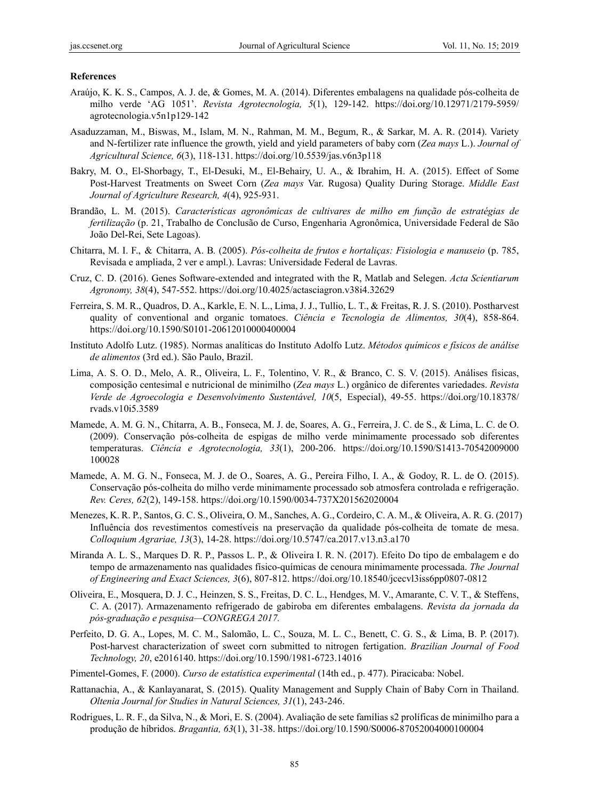#### **References**

- Araújo, K. K. S., Campos, A. J. de, & Gomes, M. A. (2014). Diferentes embalagens na qualidade pós-colheita de milho verde 'AG 1051'. *Revista Agrotecnologia, 5*(1), 129-142. https://doi.org/10.12971/2179-5959/ agrotecnologia.v5n1p129-142
- Asaduzzaman, M., Biswas, M., Islam, M. N., Rahman, M. M., Begum, R., & Sarkar, M. A. R. (2014). Variety and N-fertilizer rate influence the growth, yield and yield parameters of baby corn (*Zea mays* L.). *Journal of Agricultural Science, 6*(3), 118-131. https://doi.org/10.5539/jas.v6n3p118
- Bakry, M. O., El-Shorbagy, T., El-Desuki, M., El-Behairy, U. A., & Ibrahim, H. A. (2015). Effect of Some Post-Harvest Treatments on Sweet Corn (*Zea mays* Var. Rugosa) Quality During Storage. *Middle East Journal of Agriculture Research, 4*(4), 925-931.
- Brandão, L. M. (2015). *Características agronômicas de cultivares de milho em função de estratégias de fertilização* (p. 21, Trabalho de Conclusão de Curso, Engenharia Agronômica, Universidade Federal de São João Del-Rei, Sete Lagoas).
- Chitarra, M. I. F., & Chitarra, A. B*.* (2005). *Pós-colheita de frutos e hortaliças: Fisiologia e manuseio* (p. 785, Revisada e ampliada, 2 ver e ampl.). Lavras: Universidade Federal de Lavras.
- Cruz, C. D. (2016). Genes Software-extended and integrated with the R, Matlab and Selegen. *Acta Scientiarum Agronomy, 38*(4), 547-552. https://doi.org/10.4025/actasciagron.v38i4.32629
- Ferreira, S. M. R., Quadros, D. A., Karkle, E. N. L., Lima, J. J., Tullio, L. T., & Freitas, R. J. S. (2010). Postharvest quality of conventional and organic tomatoes. *Ciência e Tecnologia de Alimentos, 30*(4), 858-864. https://doi.org/10.1590/S0101-20612010000400004
- Instituto Adolfo Lutz. (1985). Normas analíticas do Instituto Adolfo Lutz. *Métodos químicos e físicos de análise de alimentos* (3rd ed.). São Paulo, Brazil.
- Lima, A. S. O. D., Melo, A. R., Oliveira, L. F., Tolentino, V. R., & Branco, C. S. V. (2015). Análises físicas, composição centesimal e nutricional de minimilho (*Zea mays* L.) orgânico de diferentes variedades. *Revista Verde de Agroecologia e Desenvolvimento Sustentável, 10*(5, Especial), 49-55. https://doi.org/10.18378/ rvads.v10i5.3589
- Mamede, A. M. G. N., Chitarra, A. B., Fonseca, M. J. de, Soares, A. G., Ferreira, J. C. de S., & Lima, L. C. de O. (2009). Conservação pós-colheita de espigas de milho verde minimamente processado sob diferentes temperaturas. *Ciência e Agrotecnologia, 33*(1), 200-206. https://doi.org/10.1590/S1413-70542009000 100028
- Mamede, A. M. G. N., Fonseca, M. J. de O., Soares, A. G., Pereira Filho, I. A., & Godoy, R. L. de O. (2015). Conservação pós-colheita do milho verde minimamente processado sob atmosfera controlada e refrigeração. *Rev. Ceres, 62*(2), 149-158. https://doi.org/10.1590/0034-737X201562020004
- Menezes, K. R. P., Santos, G. C. S., Oliveira, O. M., Sanches, A. G., Cordeiro, C. A. M., & Oliveira, A. R. G. (2017) Influência dos revestimentos comestíveis na preservação da qualidade pós-colheita de tomate de mesa. *Colloquium Agrariae, 13*(3), 14-28. https://doi.org/10.5747/ca.2017.v13.n3.a170
- Miranda A. L. S., Marques D. R. P., Passos L. P., & Oliveira I. R. N. (2017). Efeito Do tipo de embalagem e do tempo de armazenamento nas qualidades físico-químicas de cenoura minimamente processada. *The Journal of Engineering and Exact Sciences, 3*(6), 807-812. https://doi.org/10.18540/jcecvl3iss6pp0807-0812
- Oliveira, E., Mosquera, D. J. C., Heinzen, S. S., Freitas, D. C. L., Hendges, M. V., Amarante, C. V. T., & Steffens, C. A. (2017). Armazenamento refrigerado de gabiroba em diferentes embalagens. *Revista da jornada da pós-graduação e pesquisa—CONGREGA 2017.*
- Perfeito, D. G. A., Lopes, M. C. M., Salomão, L. C., Souza, M. L. C., Benett, C. G. S., & Lima, B. P. (2017). Post-harvest characterization of sweet corn submitted to nitrogen fertigation. *Brazilian Journal of Food Technology, 20*, e2016140. https://doi.org/10.1590/1981-6723.14016
- Pimentel-Gomes, F. (2000). *Curso de estatística experimental* (14th ed., p. 477). Piracicaba: Nobel.
- Rattanachia, A., & Kanlayanarat, S. (2015). Quality Management and Supply Chain of Baby Corn in Thailand. *Oltenia Journal for Studies in Natural Sciences, 31*(1), 243-246.
- Rodrigues, L. R. F., da Silva, N., & Mori, E. S. (2004). Avaliação de sete famílias s2 prolíficas de minimilho para a produção de híbridos. *Bragantia, 63*(1), 31-38. https://doi.org/10.1590/S0006-87052004000100004